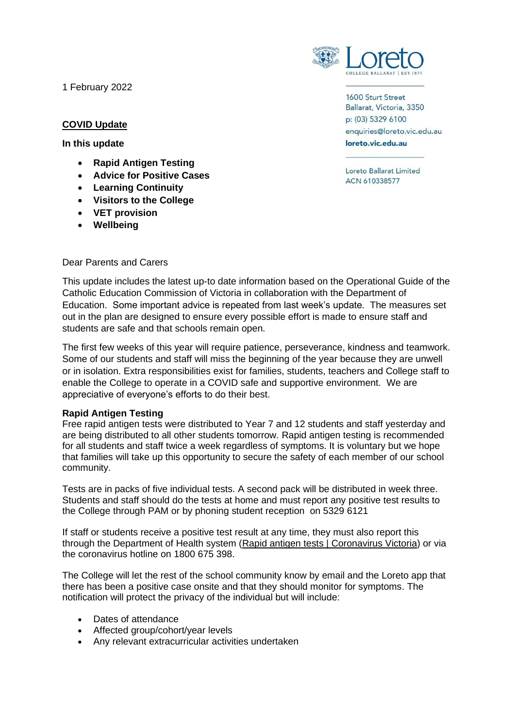1 February 2022

# **COVID Update**

**In this update**

- **Rapid Antigen Testing**
- **Advice for Positive Cases**
- **Learning Continuity**
- **Visitors to the College**
- **VET provision**
- **Wellbeing**

Dear Parents and Carers



1600 Sturt Street Ballarat, Victoria, 3350 p: (03) 5329 6100 enquiries@loreto.vic.edu.au loreto.vic.edu.au

Loreto Ballarat Limited ACN 610338577

This update includes the latest up-to date information based on the Operational Guide of the Catholic Education Commission of Victoria in collaboration with the Department of Education. Some important advice is repeated from last week's update. The measures set out in the plan are designed to ensure every possible effort is made to ensure staff and students are safe and that schools remain open.

The first few weeks of this year will require patience, perseverance, kindness and teamwork. Some of our students and staff will miss the beginning of the year because they are unwell or in isolation. Extra responsibilities exist for families, students, teachers and College staff to enable the College to operate in a COVID safe and supportive environment. We are appreciative of everyone's efforts to do their best.

# **Rapid Antigen Testing**

Free rapid antigen tests were distributed to Year 7 and 12 students and staff yesterday and are being distributed to all other students tomorrow. Rapid antigen testing is recommended for all students and staff twice a week regardless of symptoms. It is voluntary but we hope that families will take up this opportunity to secure the safety of each member of our school community.

Tests are in packs of five individual tests. A second pack will be distributed in week three. Students and staff should do the tests at home and must report any positive test results to the College through PAM or by phoning student reception on 5329 6121

If staff or students receive a positive test result at any time, they must also report this through the Department of Health system [\(Rapid antigen tests | Coronavirus Victoria\)](https://www.coronavirus.vic.gov.au/rapid-antigen-tests#report-a-positive-result-on-a-rapid-antigen-test) or via the coronavirus hotline on 1800 675 398.

The College will let the rest of the school community know by email and the Loreto app that there has been a positive case onsite and that they should monitor for symptoms. The notification will protect the privacy of the individual but will include:

- Dates of attendance
- Affected group/cohort/year levels
- Any relevant extracurricular activities undertaken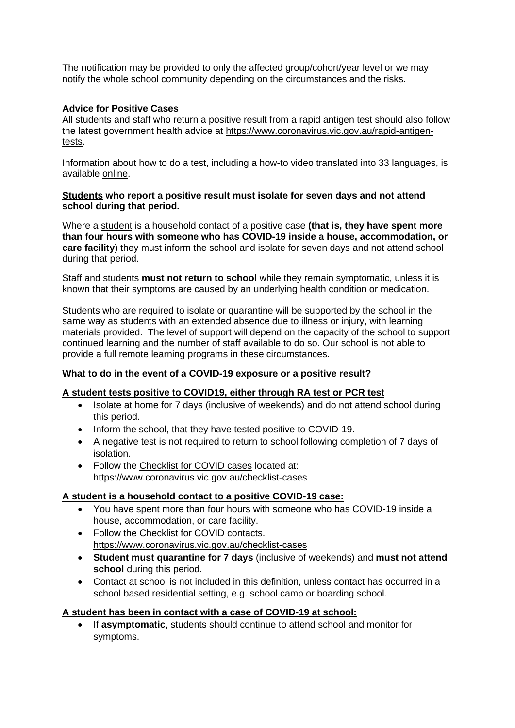The notification may be provided to only the affected group/cohort/year level or we may notify the whole school community depending on the circumstances and the risks.

# **Advice for Positive Cases**

All students and staff who return a positive result from a rapid antigen test should also follow the latest government health advice at [https://www.coronavirus.vic.gov.au/rapid-antigen](https://www.coronavirus.vic.gov.au/rapid-antigen-tests)[tests.](https://www.coronavirus.vic.gov.au/rapid-antigen-tests)

Information about how to do a test, including a how-to video translated into 33 languages, is available [online.](https://www.coronavirus.vic.gov.au/rapid-antigen-testing-schools)

## **Students who report a positive result must isolate for seven days and not attend school during that period.**

Where a student is a household contact of a positive case **(that is, they have spent more than four hours with someone who has COVID-19 inside a house, accommodation, or care facility**) they must inform the school and isolate for seven days and not attend school during that period.

Staff and students **must not return to school** while they remain symptomatic, unless it is known that their symptoms are caused by an underlying health condition or medication.

Students who are required to isolate or quarantine will be supported by the school in the same way as students with an extended absence due to illness or injury, with learning materials provided. The level of support will depend on the capacity of the school to support continued learning and the number of staff available to do so. Our school is not able to provide a full remote learning programs in these circumstances.

# **What to do in the event of a COVID-19 exposure or a positive result?**

### **A student tests positive to COVID19, either through RA test or PCR test**

- Isolate at home for 7 days (inclusive of weekends) and do not attend school during this period.
- Inform the school, that they have tested positive to COVID-19.
- A negative test is not required to return to school following completion of 7 days of isolation.
- Follow the Checklist for COVID cases located at: <https://www.coronavirus.vic.gov.au/checklist-cases>

# **A student is a household contact to a positive COVID-19 case:**

- You have spent more than four hours with someone who has COVID-19 inside a house, accommodation, or care facility.
- Follow the Checklist for COVID contacts. <https://www.coronavirus.vic.gov.au/checklist-cases>
- **Student must quarantine for 7 days** (inclusive of weekends) and **must not attend school** during this period.
- Contact at school is not included in this definition, unless contact has occurred in a school based residential setting, e.g. school camp or boarding school.

# **A student has been in contact with a case of COVID-19 at school:**

• If **asymptomatic**, students should continue to attend school and monitor for symptoms.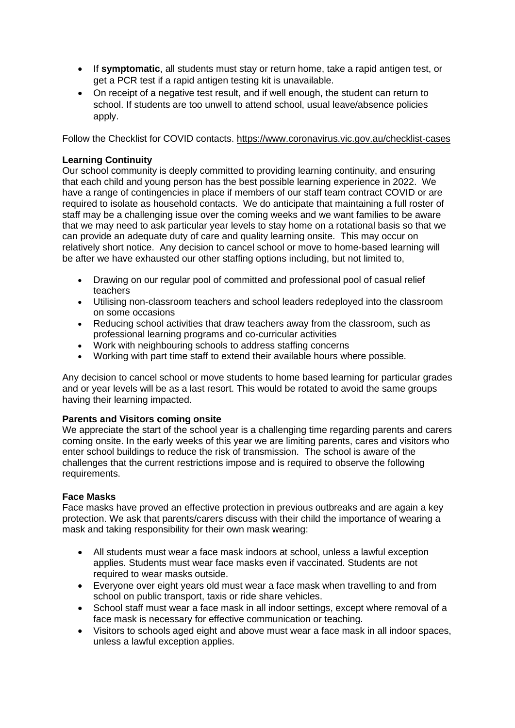- If **symptomatic**, all students must stay or return home, take a rapid antigen test, or get a PCR test if a rapid antigen testing kit is unavailable.
- On receipt of a negative test result, and if well enough, the student can return to school. If students are too unwell to attend school, usual leave/absence policies apply.

Follow the Checklist for COVID contacts.<https://www.coronavirus.vic.gov.au/checklist-cases>

# **Learning Continuity**

Our school community is deeply committed to providing learning continuity, and ensuring that each child and young person has the best possible learning experience in 2022. We have a range of contingencies in place if members of our staff team contract COVID or are required to isolate as household contacts. We do anticipate that maintaining a full roster of staff may be a challenging issue over the coming weeks and we want families to be aware that we may need to ask particular year levels to stay home on a rotational basis so that we can provide an adequate duty of care and quality learning onsite. This may occur on relatively short notice. Any decision to cancel school or move to home-based learning will be after we have exhausted our other staffing options including, but not limited to,

- Drawing on our regular pool of committed and professional pool of casual relief teachers
- Utilising non-classroom teachers and school leaders redeployed into the classroom on some occasions
- Reducing school activities that draw teachers away from the classroom, such as professional learning programs and co-curricular activities
- Work with neighbouring schools to address staffing concerns
- Working with part time staff to extend their available hours where possible.

Any decision to cancel school or move students to home based learning for particular grades and or year levels will be as a last resort. This would be rotated to avoid the same groups having their learning impacted.

# **Parents and Visitors coming onsite**

We appreciate the start of the school year is a challenging time regarding parents and carers coming onsite. In the early weeks of this year we are limiting parents, cares and visitors who enter school buildings to reduce the risk of transmission. The school is aware of the challenges that the current restrictions impose and is required to observe the following requirements.

# **Face Masks**

Face masks have proved an effective protection in previous outbreaks and are again a key protection. We ask that parents/carers discuss with their child the importance of wearing a mask and taking responsibility for their own mask wearing:

- All students must wear a face mask indoors at school, unless a lawful exception applies. Students must wear face masks even if vaccinated. Students are not required to wear masks outside.
- Everyone over eight years old must wear a face mask when travelling to and from school on public transport, taxis or ride share vehicles.
- School staff must wear a face mask in all indoor settings, except where removal of a face mask is necessary for effective communication or teaching.
- Visitors to schools aged eight and above must wear a face mask in all indoor spaces, unless a lawful exception applies.